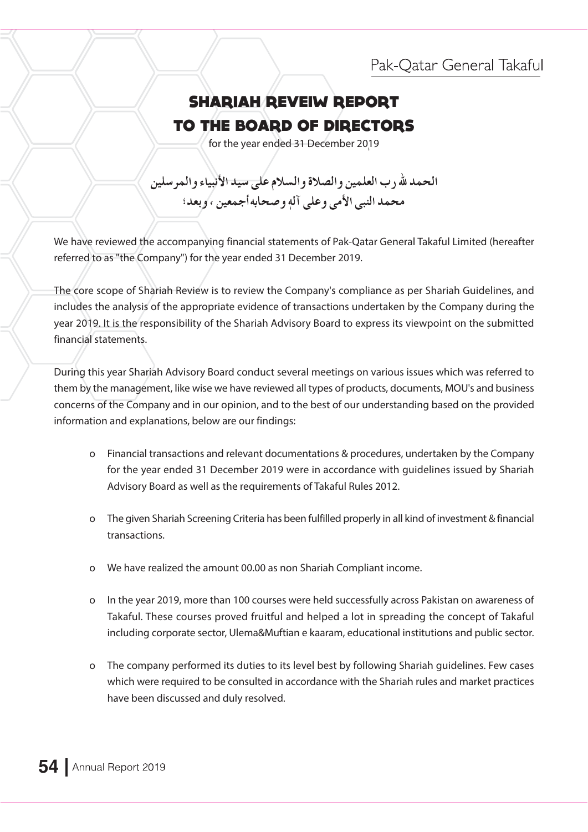## Pak-Qatar General Takaful

## **SHARIAH REVEIW REPORT** TO THE BOARD OF DIRECTORS

for the year ended 31 December 2019

الحمد لله رب العلمين والصلاة والسلام على سيد الأنبياء والمر سلين محمد النبي الأمي وعلى آله و صحابه أجمعين ، و بعد؛

We have reviewed the accompanying financial statements of Pak-Qatar General Takaful Limited (hereafter referred to as "the Company") for the year ended 31 December 2019.

The core scope of Shariah Review is to review the Company's compliance as per Shariah Guidelines, and includes the analysis of the appropriate evidence of transactions undertaken by the Company during the year 2019. It is the responsibility of the Shariah Advisory Board to express its viewpoint on the submitted financial statements.

During this year Shariah Advisory Board conduct several meetings on various issues which was referred to them by the management, like wise we have reviewed all types of products, documents, MOU's and business concerns of the Company and in our opinion, and to the best of our understanding based on the provided information and explanations, below are our findings:

- o Financial transactions and relevant documentations & procedures, undertaken by the Company for the year ended 31 December 2019 were in accordance with guidelines issued by Shariah Advisory Board as well as the requirements of Takaful Rules 2012.
- o The given Shariah Screening Criteria has been fulfilled properly in all kind of investment & financial transactions.
- o We have realized the amount 00.00 as non Shariah Compliant income.
- o In the year 2019, more than 100 courses were held successfully across Pakistan on awareness of Takaful. These courses proved fruitful and helped a lot in spreading the concept of Takaful including corporate sector, Ulema&Muftian e kaaram, educational institutions and public sector.
- o The company performed its duties to its level best by following Shariah quidelines. Few cases which were required to be consulted in accordance with the Shariah rules and market practices have been discussed and duly resolved.